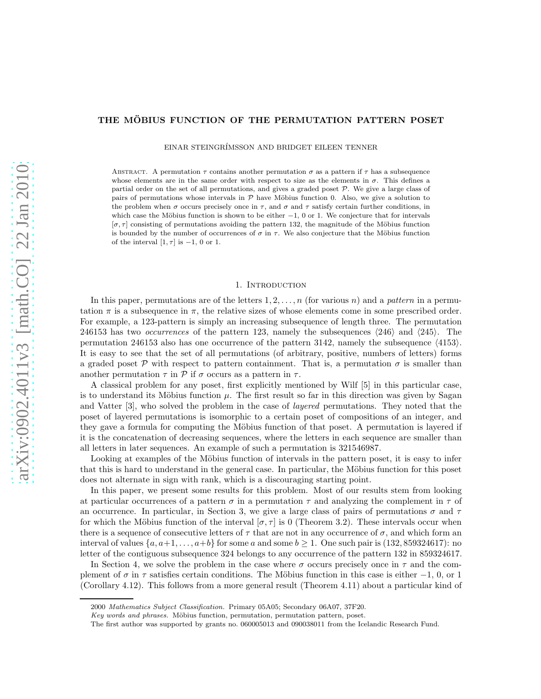# THE MÖBIUS FUNCTION OF THE PERMUTATION PATTERN POSET

EINAR STEINGR´IMSSON AND BRIDGET EILEEN TENNER

ABSTRACT. A permutation  $\tau$  contains another permutation  $\sigma$  as a pattern if  $\tau$  has a subsequence whose elements are in the same order with respect to size as the elements in  $\sigma$ . This defines a partial order on the set of all permutations, and gives a graded poset  $P$ . We give a large class of pairs of permutations whose intervals in  $P$  have Möbius function 0. Also, we give a solution to the problem when  $\sigma$  occurs precisely once in  $\tau$ , and  $\sigma$  and  $\tau$  satisfy certain further conditions, in which case the Möbius function is shown to be either  $-1$ , 0 or 1. We conjecture that for intervals  $[\sigma, \tau]$  consisting of permutations avoiding the pattern 132, the magnitude of the Möbius function is bounded by the number of occurrences of  $\sigma$  in  $\tau$ . We also conjecture that the Möbius function of the interval  $[1, \tau]$  is  $-1$ , 0 or 1.

#### 1. INTRODUCTION

In this paper, permutations are of the letters  $1, 2, \ldots, n$  (for various n) and a pattern in a permutation  $\pi$  is a subsequence in  $\pi$ , the relative sizes of whose elements come in some prescribed order. For example, a 123-pattern is simply an increasing subsequence of length three. The permutation 246153 has two *occurrences* of the pattern 123, namely the subsequences  $\langle 246 \rangle$  and  $\langle 245 \rangle$ . The permutation 246153 also has one occurrence of the pattern 3142, namely the subsequence  $\langle 4153 \rangle$ . It is easy to see that the set of all permutations (of arbitrary, positive, numbers of letters) forms a graded poset  $P$  with respect to pattern containment. That is, a permutation  $\sigma$  is smaller than another permutation  $\tau$  in  $\mathcal P$  if  $\sigma$  occurs as a pattern in  $\tau$ .

A classical problem for any poset, first explicitly mentioned by Wilf [5] in this particular case, is to understand its Möbius function  $\mu$ . The first result so far in this direction was given by Sagan and Vatter [3], who solved the problem in the case of layered permutations. They noted that the poset of layered permutations is isomorphic to a certain poset of compositions of an integer, and they gave a formula for computing the Möbius function of that poset. A permutation is layered if it is the concatenation of decreasing sequences, where the letters in each sequence are smaller than all letters in later sequences. An example of such a permutation is 321546987.

Looking at examples of the Möbius function of intervals in the pattern poset, it is easy to infer that this is hard to understand in the general case. In particular, the Möbius function for this poset does not alternate in sign with rank, which is a discouraging starting point.

In this paper, we present some results for this problem. Most of our results stem from looking at particular occurrences of a pattern  $\sigma$  in a permutation  $\tau$  and analyzing the complement in  $\tau$  of an occurrence. In particular, in Section 3, we give a large class of pairs of permutations  $\sigma$  and  $\tau$ for which the Möbius function of the interval  $[\sigma, \tau]$  is 0 (Theorem 3.2). These intervals occur when there is a sequence of consecutive letters of  $\tau$  that are not in any occurrence of  $\sigma$ , and which form an interval of values  $\{a, a+1, \ldots, a+b\}$  for some a and some  $b \ge 1$ . One such pair is (132, 859324617): no letter of the contiguous subsequence 324 belongs to any occurrence of the pattern 132 in 859324617.

In Section 4, we solve the problem in the case where  $\sigma$  occurs precisely once in  $\tau$  and the complement of  $\sigma$  in  $\tau$  satisfies certain conditions. The Möbius function in this case is either  $-1$ , 0, or 1 (Corollary 4.12). This follows from a more general result (Theorem 4.11) about a particular kind of

<sup>2000</sup> Mathematics Subject Classification. Primary 05A05; Secondary 06A07, 37F20.

Key words and phrases. Möbius function, permutation, permutation pattern, poset.

The first author was supported by grants no. 060005013 and 090038011 from the Icelandic Research Fund.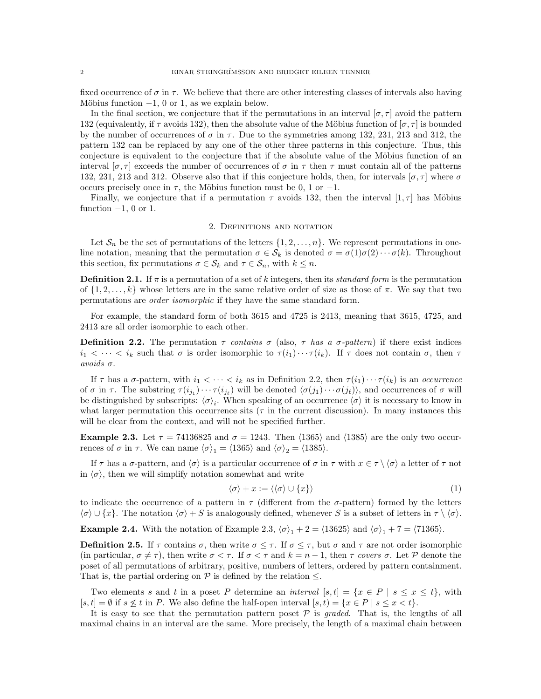fixed occurrence of  $\sigma$  in  $\tau$ . We believe that there are other interesting classes of intervals also having Möbius function  $-1$ , 0 or 1, as we explain below.

In the final section, we conjecture that if the permutations in an interval  $[\sigma, \tau]$  avoid the pattern 132 (equivalently, if  $\tau$  avoids 132), then the absolute value of the Möbius function of  $[\sigma, \tau]$  is bounded by the number of occurrences of  $\sigma$  in  $\tau$ . Due to the symmetries among 132, 231, 213 and 312, the pattern 132 can be replaced by any one of the other three patterns in this conjecture. Thus, this conjecture is equivalent to the conjecture that if the absolute value of the Möbius function of an interval  $[\sigma, \tau]$  exceeds the number of occurrences of  $\sigma$  in  $\tau$  then  $\tau$  must contain all of the patterns 132, 231, 213 and 312. Observe also that if this conjecture holds, then, for intervals  $[\sigma, \tau]$  where  $\sigma$ occurs precisely once in  $\tau$ , the Möbius function must be 0, 1 or -1.

Finally, we conjecture that if a permutation  $\tau$  avoids 132, then the interval  $[1, \tau]$  has Möbius function  $-1$ , 0 or 1.

#### 2. Definitions and notation

Let  $\mathcal{S}_n$  be the set of permutations of the letters  $\{1, 2, \ldots, n\}$ . We represent permutations in oneline notation, meaning that the permutation  $\sigma \in \mathcal{S}_k$  is denoted  $\sigma = \sigma(1)\sigma(2)\cdots \sigma(k)$ . Throughout this section, fix permutations  $\sigma \in \mathcal{S}_k$  and  $\tau \in \mathcal{S}_n$ , with  $k \leq n$ .

**Definition 2.1.** If  $\pi$  is a permutation of a set of k integers, then its *standard form* is the permutation of  $\{1, 2, \ldots, k\}$  whose letters are in the same relative order of size as those of  $\pi$ . We say that two permutations are order isomorphic if they have the same standard form.

For example, the standard form of both 3615 and 4725 is 2413, meaning that 3615, 4725, and 2413 are all order isomorphic to each other.

**Definition 2.2.** The permutation  $\tau$  contains  $\sigma$  (also,  $\tau$  has a  $\sigma$ -pattern) if there exist indices  $i_1 < \cdots < i_k$  such that  $\sigma$  is order isomorphic to  $\tau(i_1)\cdots \tau(i_k)$ . If  $\tau$  does not contain  $\sigma$ , then  $\tau$ avoids σ.

If  $\tau$  has a  $\sigma$ -pattern, with  $i_1 < \cdots < i_k$  as in Definition 2.2, then  $\tau(i_1)\cdots \tau(i_k)$  is an *occurrence* of  $\sigma$  in  $\tau$ . The substring  $\tau(i_{j_1})\cdots\tau(i_{j_\ell})$  will be denoted  $\langle\sigma(j_1)\cdots\sigma(j_\ell)\rangle$ , and occurrences of  $\sigma$  will be distinguished by subscripts:  $\langle \sigma \rangle_i$ . When speaking of an occurrence  $\langle \sigma \rangle$  it is necessary to know in what larger permutation this occurrence sits ( $\tau$  in the current discussion). In many instances this will be clear from the context, and will not be specified further.

Example 2.3. Let  $\tau = 74136825$  and  $\sigma = 1243$ . Then  $\langle 1365 \rangle$  and  $\langle 1385 \rangle$  are the only two occurrences of  $\sigma$  in  $\tau$ . We can name  $\langle \sigma \rangle_1 = \langle 1365 \rangle$  and  $\langle \sigma \rangle_2 = \langle 1385 \rangle$ .

If  $\tau$  has a  $\sigma$ -pattern, and  $\langle \sigma \rangle$  is a particular occurrence of  $\sigma$  in  $\tau$  with  $x \in \tau \setminus \langle \sigma \rangle$  a letter of  $\tau$  not in  $\langle \sigma \rangle$ , then we will simplify notation somewhat and write

$$
\langle \sigma \rangle + x := \langle \langle \sigma \rangle \cup \{x\} \rangle \tag{1}
$$

to indicate the occurrence of a pattern in  $\tau$  (different from the  $\sigma$ -pattern) formed by the letters  $\langle \sigma \rangle \cup \{x\}.$  The notation  $\langle \sigma \rangle + S$  is analogously defined, whenever S is a subset of letters in  $\tau \setminus \langle \sigma \rangle$ .

**Example 2.4.** With the notation of Example 2.3,  $\langle \sigma \rangle_1 + 2 = \langle 13625 \rangle$  and  $\langle \sigma \rangle_1 + 7 = \langle 71365 \rangle$ .

**Definition 2.5.** If  $\tau$  contains  $\sigma$ , then write  $\sigma \leq \tau$ . If  $\sigma \leq \tau$ , but  $\sigma$  and  $\tau$  are not order isomorphic (in particular,  $\sigma \neq \tau$ ), then write  $\sigma < \tau$ . If  $\sigma < \tau$  and  $k = n - 1$ , then  $\tau$  covers  $\sigma$ . Let P denote the poset of all permutations of arbitrary, positive, numbers of letters, ordered by pattern containment. That is, the partial ordering on  $P$  is defined by the relation  $\leq$ .

Two elements s and t in a poset P determine an interval  $[s, t] = \{x \in P \mid s \leq x \leq t\}$ , with  $[s, t] = \emptyset$  if  $s \not\leq t$  in P. We also define the half-open interval  $[s, t] = \{x \in P \mid s \leq x < t\}.$ 

It is easy to see that the permutation pattern poset  $P$  is graded. That is, the lengths of all maximal chains in an interval are the same. More precisely, the length of a maximal chain between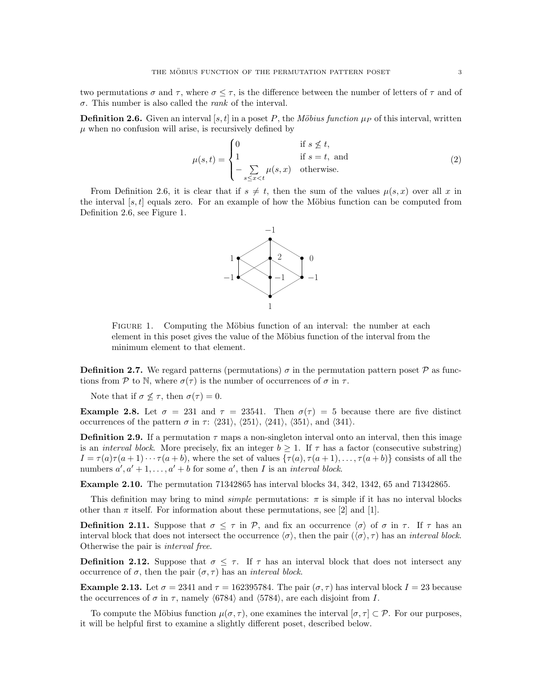two permutations  $\sigma$  and  $\tau$ , where  $\sigma \leq \tau$ , is the difference between the number of letters of  $\tau$  and of σ. This number is also called the rank of the interval.

**Definition 2.6.** Given an interval [s, t] in a poset P, the Möbius function  $\mu<sub>P</sub>$  of this interval, written  $\mu$  when no confusion will arise, is recursively defined by

$$
\mu(s,t) = \begin{cases}\n0 & \text{if } s \nleq t, \\
1 & \text{if } s = t, \text{ and} \\
-\sum_{s \leq x < t} \mu(s,x) & \text{otherwise.} \n\end{cases}
$$
\n(2)

From Definition 2.6, it is clear that if  $s \neq t$ , then the sum of the values  $\mu(s, x)$  over all x in the interval  $[s, t]$  equals zero. For an example of how the Möbius function can be computed from Definition 2.6, see Figure 1.



FIGURE 1. Computing the Möbius function of an interval: the number at each element in this poset gives the value of the Möbius function of the interval from the minimum element to that element.

**Definition 2.7.** We regard patterns (permutations)  $\sigma$  in the permutation pattern poset  $\mathcal{P}$  as functions from P to N, where  $\sigma(\tau)$  is the number of occurrences of  $\sigma$  in  $\tau$ .

Note that if  $\sigma \nleq \tau$ , then  $\sigma(\tau) = 0$ .

Example 2.8. Let  $\sigma = 231$  and  $\tau = 23541$ . Then  $\sigma(\tau) = 5$  because there are five distinct occurrences of the pattern  $\sigma$  in  $\tau$ :  $\langle 231 \rangle$ ,  $\langle 251 \rangle$ ,  $\langle 241 \rangle$ ,  $\langle 351 \rangle$ , and  $\langle 341 \rangle$ .

**Definition 2.9.** If a permutation  $\tau$  maps a non-singleton interval onto an interval, then this image is an *interval block*. More precisely, fix an integer  $b \geq 1$ . If  $\tau$  has a factor (consecutive substring)  $I = \tau(a)\tau(a+1)\cdots\tau(a+b)$ , where the set of values  $\{\tau(a), \tau(a+1), \ldots, \tau(a+b)\}$  consists of all the numbers  $a', a' + 1, \ldots, a' + b$  for some a', then I is an interval block.

Example 2.10. The permutation 71342865 has interval blocks 34, 342, 1342, 65 and 71342865.

This definition may bring to mind *simple* permutations:  $\pi$  is simple if it has no interval blocks other than  $\pi$  itself. For information about these permutations, see [2] and [1].

**Definition 2.11.** Suppose that  $\sigma \leq \tau$  in P, and fix an occurrence  $\langle \sigma \rangle$  of  $\sigma$  in  $\tau$ . If  $\tau$  has an interval block that does not intersect the occurrence  $\langle \sigma \rangle$ , then the pair  $(\langle \sigma \rangle, \tau)$  has an *interval block*. Otherwise the pair is interval free.

**Definition 2.12.** Suppose that  $\sigma \leq \tau$ . If  $\tau$  has an interval block that does not intersect any occurrence of  $\sigma$ , then the pair  $(\sigma, \tau)$  has an *interval block*.

**Example 2.13.** Let  $\sigma = 2341$  and  $\tau = 162395784$ . The pair  $(\sigma, \tau)$  has interval block  $I = 23$  because the occurrences of  $\sigma$  in  $\tau$ , namely  $\langle 6784 \rangle$  and  $\langle 5784 \rangle$ , are each disjoint from I.

To compute the Möbius function  $\mu(\sigma, \tau)$ , one examines the interval  $[\sigma, \tau] \subset \mathcal{P}$ . For our purposes, it will be helpful first to examine a slightly different poset, described below.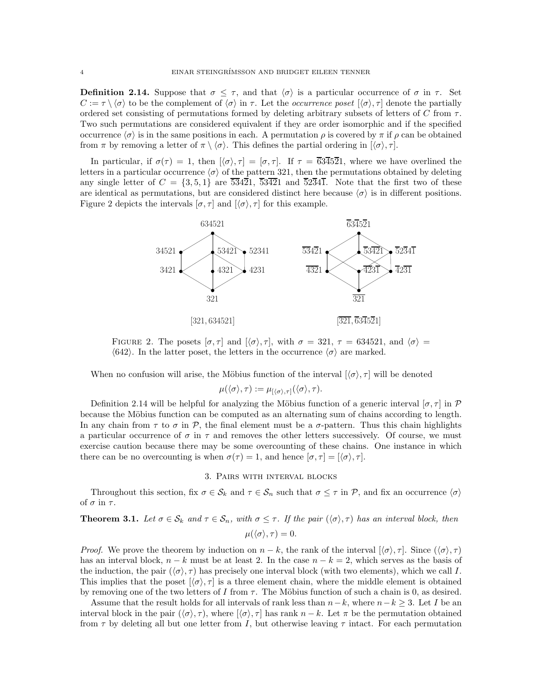**Definition 2.14.** Suppose that  $\sigma \leq \tau$ , and that  $\langle \sigma \rangle$  is a particular occurrence of  $\sigma$  in  $\tau$ . Set  $C := \tau \setminus \langle \sigma \rangle$  to be the complement of  $\langle \sigma \rangle$  in  $\tau$ . Let the *occurrence poset*  $[\langle \sigma \rangle, \tau]$  denote the partially ordered set consisting of permutations formed by deleting arbitrary subsets of letters of C from  $\tau$ . Two such permutations are considered equivalent if they are order isomorphic and if the specified occurrence  $\langle \sigma \rangle$  is in the same positions in each. A permutation *ρ* is covered by π if *ρ* can be obtained from  $\pi$  by removing a letter of  $\pi \setminus \langle \sigma \rangle$ . This defines the partial ordering in  $[\langle \sigma \rangle, \tau]$ .

In particular, if  $\sigma(\tau) = 1$ , then  $[\langle \sigma \rangle, \tau] = [\sigma, \tau]$ . If  $\tau = \overline{634521}$ , where we have overlined the letters in a particular occurrence  $\langle \sigma \rangle$  of the pattern 321, then the permutations obtained by deleting any single letter of  $C = \{3, 5, 1\}$  are  $\overline{53421}$ ,  $\overline{53421}$  and  $\overline{52341}$ . Note that the first two of these are identical as permutations, but are considered distinct here because  $\langle \sigma \rangle$  is in different positions. Figure 2 depicts the intervals  $[\sigma, \tau]$  and  $[\langle \sigma \rangle, \tau]$  for this example.



FIGURE 2. The posets  $[\sigma, \tau]$  and  $[\langle \sigma \rangle, \tau]$ , with  $\sigma = 321, \tau = 634521$ , and  $\langle \sigma \rangle =$  $\langle 642 \rangle$ . In the latter poset, the letters in the occurrence  $\langle \sigma \rangle$  are marked.

When no confusion will arise, the Möbius function of the interval  $(\langle \sigma \rangle, \tau]$  will be denoted

 $\mu(\langle \sigma \rangle, \tau) := \mu_{\left[\langle \sigma \rangle, \tau\right]}(\langle \sigma \rangle, \tau).$ 

Definition 2.14 will be helpful for analyzing the Möbius function of a generic interval  $[\sigma, \tau]$  in P because the Möbius function can be computed as an alternating sum of chains according to length. In any chain from  $\tau$  to  $\sigma$  in  $\mathcal{P}$ , the final element must be a  $\sigma$ -pattern. Thus this chain highlights a particular occurrence of  $\sigma$  in  $\tau$  and removes the other letters successively. Of course, we must exercise caution because there may be some overcounting of these chains. One instance in which there can be no overcounting is when  $\sigma(\tau) = 1$ , and hence  $[\sigma, \tau] = [\langle \sigma \rangle, \tau]$ .

## 3. Pairs with interval blocks

Throughout this section, fix  $\sigma \in \mathcal{S}_k$  and  $\tau \in \mathcal{S}_n$  such that  $\sigma \leq \tau$  in P, and fix an occurrence  $\langle \sigma \rangle$ of  $\sigma$  in  $\tau$ .

**Theorem 3.1.** Let  $\sigma \in \mathcal{S}_k$  and  $\tau \in \mathcal{S}_n$ , with  $\sigma \leq \tau$ . If the pair  $(\langle \sigma \rangle, \tau)$  has an interval block, then

$$
\mu(\langle \sigma \rangle, \tau) = 0.
$$

*Proof.* We prove the theorem by induction on  $n - k$ , the rank of the interval  $\langle \sigma \rangle$ ,  $\tau$ . Since  $(\langle \sigma \rangle, \tau)$ has an interval block,  $n - k$  must be at least 2. In the case  $n - k = 2$ , which serves as the basis of the induction, the pair  $(\langle \sigma \rangle, \tau)$  has precisely one interval block (with two elements), which we call I. This implies that the poset  $\langle \sigma \rangle$ ,  $\tau$  is a three element chain, where the middle element is obtained by removing one of the two letters of I from  $\tau$ . The Möbius function of such a chain is 0, as desired.

Assume that the result holds for all intervals of rank less than  $n-k$ , where  $n-k \geq 3$ . Let I be an interval block in the pair  $(\langle \sigma \rangle, \tau)$ , where  $[\langle \sigma \rangle, \tau]$  has rank  $n - k$ . Let  $\pi$  be the permutation obtained from  $\tau$  by deleting all but one letter from I, but otherwise leaving  $\tau$  intact. For each permutation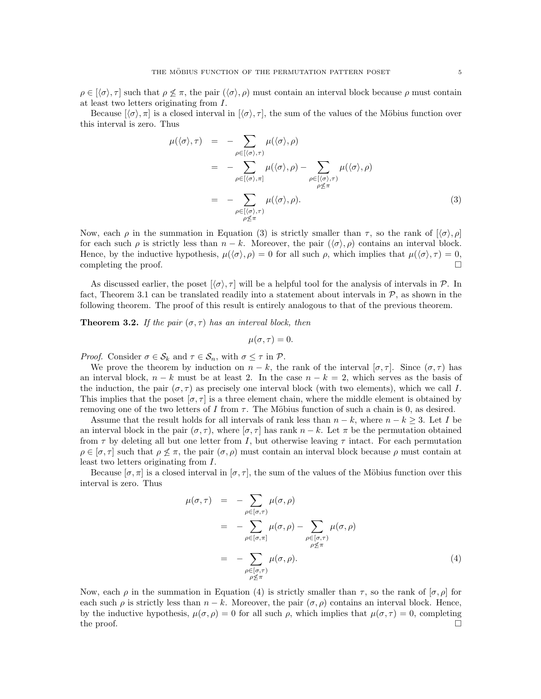Because  $[\langle \sigma \rangle, \pi]$  is a closed interval in  $[\langle \sigma \rangle, \tau]$ , the sum of the values of the Möbius function over this interval is zero. Thus

$$
\mu(\langle \sigma \rangle, \tau) = - \sum_{\rho \in [(\sigma), \tau)} \mu(\langle \sigma \rangle, \rho)
$$
  
\n
$$
= - \sum_{\rho \in [(\sigma), \pi]} \mu(\langle \sigma \rangle, \rho) - \sum_{\rho \in [(\sigma), \tau)} \mu(\langle \sigma \rangle, \rho)
$$
  
\n
$$
= - \sum_{\rho \in [\langle \sigma \rangle, \tau)} \mu(\langle \sigma \rangle, \rho).
$$
 (3)

Now, each  $\rho$  in the summation in Equation (3) is strictly smaller than  $\tau$ , so the rank of  $(\langle \sigma \rangle, \rho]$ for each such  $\rho$  is strictly less than  $n - k$ . Moreover, the pair  $(\langle \sigma \rangle, \rho)$  contains an interval block. Hence, by the inductive hypothesis,  $\mu(\langle \sigma \rangle, \rho) = 0$  for all such  $\rho$ , which implies that  $\mu(\langle \sigma \rangle, \tau) = 0$ , completing the proof.  $\Box$ 

As discussed earlier, the poset  $(\langle \sigma \rangle, \tau]$  will be a helpful tool for the analysis of intervals in P. In fact, Theorem 3.1 can be translated readily into a statement about intervals in  $P$ , as shown in the following theorem. The proof of this result is entirely analogous to that of the previous theorem.

**Theorem 3.2.** If the pair  $(\sigma, \tau)$  has an interval block, then

$$
\mu(\sigma,\tau)=0.
$$

*Proof.* Consider  $\sigma \in \mathcal{S}_k$  and  $\tau \in \mathcal{S}_n$ , with  $\sigma \leq \tau$  in  $\mathcal{P}$ .

We prove the theorem by induction on  $n - k$ , the rank of the interval  $[\sigma, \tau]$ . Since  $(\sigma, \tau)$  has an interval block,  $n - k$  must be at least 2. In the case  $n - k = 2$ , which serves as the basis of the induction, the pair  $(\sigma, \tau)$  as precisely one interval block (with two elements), which we call I. This implies that the poset  $[\sigma, \tau]$  is a three element chain, where the middle element is obtained by removing one of the two letters of I from  $\tau$ . The Möbius function of such a chain is 0, as desired.

Assume that the result holds for all intervals of rank less than  $n - k$ , where  $n - k \geq 3$ . Let I be an interval block in the pair  $(\sigma, \tau)$ , where  $[\sigma, \tau]$  has rank  $n - k$ . Let  $\pi$  be the permutation obtained from  $\tau$  by deleting all but one letter from I, but otherwise leaving  $\tau$  intact. For each permutation  $\rho \in [\sigma, \tau]$  such that  $\rho \not\leq \pi$ , the pair  $(\sigma, \rho)$  must contain an interval block because  $\rho$  must contain at least two letters originating from I.

Because  $[\sigma, \pi]$  is a closed interval in  $[\sigma, \tau]$ , the sum of the values of the Möbius function over this interval is zero. Thus

$$
\mu(\sigma,\tau) = -\sum_{\rho \in [\sigma,\tau)} \mu(\sigma,\rho)
$$
  
\n
$$
= -\sum_{\rho \in [\sigma,\pi]} \mu(\sigma,\rho) - \sum_{\substack{\rho \in [\sigma,\tau) \\ \rho \not\leq \pi}} \mu(\sigma,\rho)
$$
  
\n
$$
= -\sum_{\substack{\rho \in [\sigma,\tau) \\ \rho \not\leq \pi}} \mu(\sigma,\rho).
$$
 (4)

Now, each  $\rho$  in the summation in Equation (4) is strictly smaller than  $\tau$ , so the rank of  $[\sigma, \rho]$  for each such  $\rho$  is strictly less than  $n - k$ . Moreover, the pair  $(\sigma, \rho)$  contains an interval block. Hence, by the inductive hypothesis,  $\mu(\sigma, \rho) = 0$  for all such  $\rho$ , which implies that  $\mu(\sigma, \tau) = 0$ , completing the proof.  $\Box$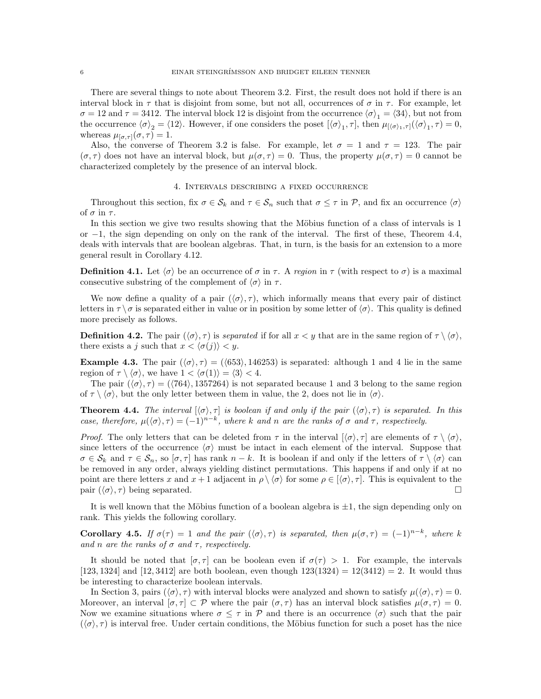There are several things to note about Theorem 3.2. First, the result does not hold if there is an interval block in  $\tau$  that is disjoint from some, but not all, occurrences of  $\sigma$  in  $\tau$ . For example, let  $\sigma = 12$  and  $\tau = 3412$ . The interval block 12 is disjoint from the occurrence  $\langle \sigma \rangle_1 = \langle 34 \rangle$ , but not from the occurrence  $\langle \sigma \rangle_2 = \langle 12 \rangle$ . However, if one considers the poset  $[\langle \sigma \rangle_1, \tau]$ , then  $\mu_{[\langle \sigma \rangle_1, \tau]}(\langle \sigma \rangle_1, \tau) = 0$ , whereas  $\mu_{[\sigma,\tau]}(\sigma,\tau) = 1$ .

Also, the converse of Theorem 3.2 is false. For example, let  $\sigma = 1$  and  $\tau = 123$ . The pair  $(\sigma, \tau)$  does not have an interval block, but  $\mu(\sigma, \tau) = 0$ . Thus, the property  $\mu(\sigma, \tau) = 0$  cannot be characterized completely by the presence of an interval block.

#### 4. Intervals describing a fixed occurrence

Throughout this section, fix  $\sigma \in \mathcal{S}_k$  and  $\tau \in \mathcal{S}_n$  such that  $\sigma \leq \tau$  in P, and fix an occurrence  $\langle \sigma \rangle$ of  $\sigma$  in  $\tau$ .

In this section we give two results showing that the Möbius function of a class of intervals is 1 or −1, the sign depending on only on the rank of the interval. The first of these, Theorem 4.4, deals with intervals that are boolean algebras. That, in turn, is the basis for an extension to a more general result in Corollary 4.12.

**Definition 4.1.** Let  $\langle \sigma \rangle$  be an occurrence of  $\sigma$  in  $\tau$ . A region in  $\tau$  (with respect to  $\sigma$ ) is a maximal consecutive substring of the complement of  $\langle \sigma \rangle$  in  $\tau$ .

We now define a quality of a pair  $(\langle \sigma \rangle, \tau)$ , which informally means that every pair of distinct letters in  $\tau \setminus \sigma$  is separated either in value or in position by some letter of  $\langle \sigma \rangle$ . This quality is defined more precisely as follows.

**Definition 4.2.** The pair  $(\langle \sigma \rangle, \tau)$  is separated if for all  $x < y$  that are in the same region of  $\tau \setminus \langle \sigma \rangle$ , there exists a j such that  $x < \langle \sigma(j) \rangle < y$ .

**Example 4.3.** The pair  $(\langle \sigma \rangle, \tau) = (\langle 653 \rangle, 146253)$  is separated: although 1 and 4 lie in the same region of  $\tau \setminus \langle \sigma \rangle$ , we have  $1 < \langle \sigma(1) \rangle = \langle 3 \rangle < 4$ .

The pair  $(\langle \sigma \rangle, \tau) = (\langle 764 \rangle, 1357264)$  is not separated because 1 and 3 belong to the same region of  $\tau \setminus \langle \sigma \rangle$ , but the only letter between them in value, the 2, does not lie in  $\langle \sigma \rangle$ .

**Theorem 4.4.** The interval  $[\langle \sigma \rangle, \tau]$  is boolean if and only if the pair  $(\langle \sigma \rangle, \tau)$  is separated. In this case, therefore,  $\mu(\langle \sigma \rangle, \tau) = (-1)^{n-k}$ , where k and n are the ranks of  $\sigma$  and  $\tau$ , respectively.

*Proof.* The only letters that can be deleted from  $\tau$  in the interval  $\langle \sigma \rangle$ ,  $\tau$  are elements of  $\tau \setminus \langle \sigma \rangle$ , since letters of the occurrence  $\langle \sigma \rangle$  must be intact in each element of the interval. Suppose that  $\sigma \in \mathcal{S}_k$  and  $\tau \in \mathcal{S}_n$ , so  $[\sigma, \tau]$  has rank  $n - k$ . It is boolean if and only if the letters of  $\tau \setminus \langle \sigma \rangle$  can be removed in any order, always yielding distinct permutations. This happens if and only if at no point are there letters x and  $x + 1$  adjacent in  $\rho \setminus \langle \sigma \rangle$  for some  $\rho \in [\langle \sigma \rangle, \tau]$ . This is equivalent to the pair  $(\langle \sigma \rangle, \tau)$  being separated.

It is well known that the Möbius function of a boolean algebra is  $\pm 1$ , the sign depending only on rank. This yields the following corollary.

**Corollary 4.5.** If  $\sigma(\tau) = 1$  and the pair  $(\langle \sigma \rangle, \tau)$  is separated, then  $\mu(\sigma, \tau) = (-1)^{n-k}$ , where k and n are the ranks of  $\sigma$  and  $\tau$ , respectively.

It should be noted that  $[\sigma, \tau]$  can be boolean even if  $\sigma(\tau) > 1$ . For example, the intervals [123, 1324] and [12, 3412] are both boolean, even though  $123(1324) = 12(3412) = 2$ . It would thus be interesting to characterize boolean intervals.

In Section 3, pairs  $(\langle \sigma \rangle, \tau)$  with interval blocks were analyzed and shown to satisfy  $\mu(\langle \sigma \rangle, \tau) = 0$ . Moreover, an interval  $[\sigma, \tau] \subset \mathcal{P}$  where the pair  $(\sigma, \tau)$  has an interval block satisfies  $\mu(\sigma, \tau) = 0$ . Now we examine situations where  $\sigma \leq \tau$  in P and there is an occurrence  $\langle \sigma \rangle$  such that the pair  $(\langle \sigma \rangle, \tau)$  is interval free. Under certain conditions, the Möbius function for such a poset has the nice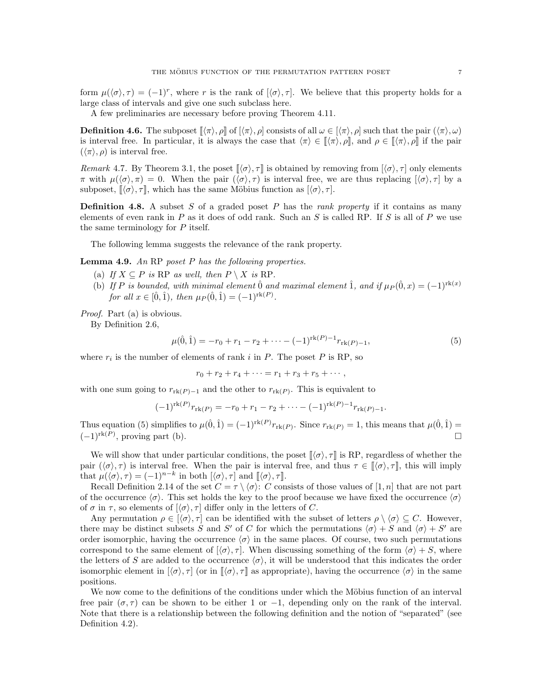form  $\mu(\langle \sigma \rangle, \tau) = (-1)^r$ , where r is the rank of  $[\langle \sigma \rangle, \tau]$ . We believe that this property holds for a large class of intervals and give one such subclass here.

A few preliminaries are necessary before proving Theorem 4.11.

**Definition 4.6.** The subposet  $\llbracket \langle \pi \rangle$ ,  $\rho \rrbracket$  of  $[\langle \pi \rangle$ ,  $\rho]$  consists of all  $\omega \in [\langle \pi \rangle, \rho]$  such that the pair  $(\langle \pi \rangle, \omega)$ is interval free. In particular, it is always the case that  $\langle \pi \rangle \in [\! [\langle \pi \rangle, \rho ]\!],$  and  $\rho \in [\! [\langle \pi \rangle, \rho ]\!]$  if the pair  $(\langle \pi \rangle, \rho)$  is interval free.

Remark 4.7. By Theorem 3.1, the poset  $\llbracket \langle \sigma \rangle, \tau \rrbracket$  is obtained by removing from  $[\langle \sigma \rangle, \tau]$  only elements  $π$  with  $μ(φ), π) = 0$ . When the pair  $(φ), τ)$  is interval free, we are thus replacing  $[φ, τ]$  by a subposet,  $\langle \sigma \rangle$ ,  $\tau \rangle$ , which has the same Möbius function as  $\langle \sigma \rangle$ ,  $\tau$ .

**Definition 4.8.** A subset S of a graded poset P has the *rank property* if it contains as many elements of even rank in  $P$  as it does of odd rank. Such an  $S$  is called RP. If  $S$  is all of  $P$  we use the same terminology for P itself.

The following lemma suggests the relevance of the rank property.

**Lemma 4.9.** An RP poset  $P$  has the following properties.

- (a) If  $X \subseteq P$  is RP as well, then  $P \setminus X$  is RP.
- (b) If P is bounded, with minimal element  $\hat{0}$  and maximal element  $\hat{1}$ , and if  $\mu_P(\hat{0}, x) = (-1)^{\text{rk}(x)}$ for all  $x \in [\hat{0}, \hat{1})$ , then  $\mu_P(\hat{0}, \hat{1}) = (-1)^{\text{rk}(P)}$ .

Proof. Part (a) is obvious.

By Definition 2.6,

$$
\mu(\hat{0}, \hat{1}) = -r_0 + r_1 - r_2 + \dots - (-1)^{\text{rk}(P)-1} r_{\text{rk}(P)-1},\tag{5}
$$

where  $r_i$  is the number of elements of rank i in P. The poset P is RP, so

 $r_0 + r_2 + r_4 + \cdots = r_1 + r_3 + r_5 + \cdots,$ 

with one sum going to  $r_{rk(P)-1}$  and the other to  $r_{rk(P)}$ . This is equivalent to

$$
(-1)^{\mathrm{rk}(P)}r_{\mathrm{rk}(P)} = -r_0 + r_1 - r_2 + \cdots - (-1)^{\mathrm{rk}(P)-1}r_{\mathrm{rk}(P)-1}.
$$

Thus equation (5) simplifies to  $\mu(\hat{0}, \hat{1}) = (-1)^{rk(P)} r_{rk(P)}$ . Since  $r_{rk(P)} = 1$ , this means that  $\mu(\hat{0}, \hat{1}) =$  $(-1)^{\text{rk}(P)}$ , proving part (b).

We will show that under particular conditions, the poset  $\langle \sigma \rangle$ ,  $\tau$  is RP, regardless of whether the pair  $(\langle \sigma \rangle, \tau)$  is interval free. When the pair is interval free, and thus  $\tau \in [\langle \sigma \rangle, \tau]$ , this will imply that  $\mu(\langle \sigma \rangle, \tau) = (-1)^{n-k}$  in both  $[\langle \sigma \rangle, \tau]$  and  $[\langle \sigma \rangle, \tau]$ .

Recall Definition 2.14 of the set  $C = \tau \setminus \langle \sigma \rangle$ : C consists of those values of [1, n] that are not part of the occurrence  $\langle \sigma \rangle$ . This set holds the key to the proof because we have fixed the occurrence  $\langle \sigma \rangle$ of  $\sigma$  in  $\tau$ , so elements of  $\langle \sigma \rangle$ ,  $\tau$  differ only in the letters of C.

Any permutation  $\rho \in [\langle \sigma \rangle, \tau]$  can be identified with the subset of letters  $\rho \setminus \langle \sigma \rangle \subseteq C$ . However, there may be distinct subsets S and S' of C for which the permutations  $\langle \sigma \rangle + S$  and  $\langle \sigma \rangle + S'$  are order isomorphic, having the occurrence  $\langle \sigma \rangle$  in the same places. Of course, two such permutations correspond to the same element of  $\langle \sigma \rangle$ ,  $\tau$ . When discussing something of the form  $\langle \sigma \rangle + S$ , where the letters of S are added to the occurrence  $\langle \sigma \rangle$ , it will be understood that this indicates the order isomorphic element in  $[\langle \sigma \rangle, \tau]$  (or in  $[\langle \sigma \rangle, \tau]$  as appropriate), having the occurrence  $\langle \sigma \rangle$  in the same positions.

We now come to the definitions of the conditions under which the Möbius function of an interval free pair  $(\sigma, \tau)$  can be shown to be either 1 or -1, depending only on the rank of the interval. Note that there is a relationship between the following definition and the notion of "separated" (see Definition 4.2).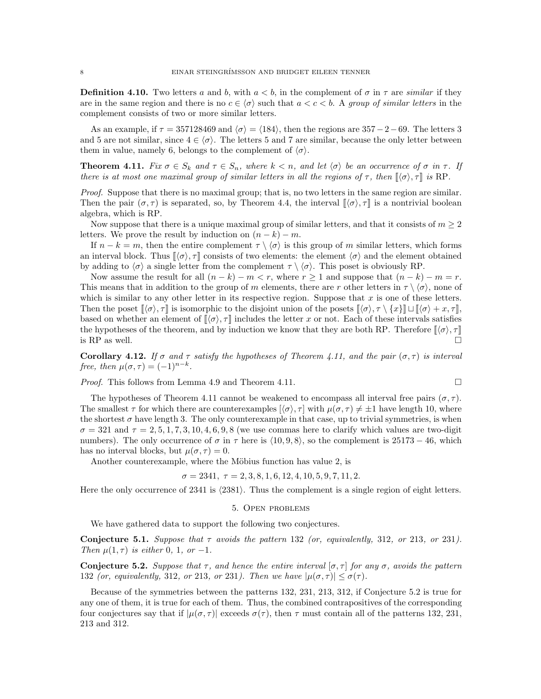**Definition 4.10.** Two letters a and b, with  $a < b$ , in the complement of  $\sigma$  in  $\tau$  are *similar* if they are in the same region and there is no  $c \in \langle \sigma \rangle$  such that  $a < c < b$ . A group of similar letters in the complement consists of two or more similar letters.

As an example, if  $\tau = 357128469$  and  $\langle \sigma \rangle = \langle 184 \rangle$ , then the regions are 357−2−69. The letters 3 and 5 are not similar, since  $4 \in \langle \sigma \rangle$ . The letters 5 and 7 are similar, because the only letter between them in value, namely 6, belongs to the complement of  $\langle \sigma \rangle$ .

**Theorem 4.11.** Fix  $\sigma \in S_k$  and  $\tau \in S_n$ , where  $k \lt n$ , and let  $\langle \sigma \rangle$  be an occurrence of  $\sigma$  in  $\tau$ . If there is at most one maximal group of similar letters in all the regions of  $\tau$ , then  $\langle \sigma \rangle$ ,  $\tau \rangle$  is RP.

Proof. Suppose that there is no maximal group; that is, no two letters in the same region are similar. Then the pair  $(\sigma, \tau)$  is separated, so, by Theorem 4.4, the interval  $(\neg \sigma)$ ,  $\tau$  is a nontrivial boolean algebra, which is RP.

Now suppose that there is a unique maximal group of similar letters, and that it consists of  $m \geq 2$ letters. We prove the result by induction on  $(n - k) - m$ .

If  $n - k = m$ , then the entire complement  $\tau \setminus \langle \sigma \rangle$  is this group of m similar letters, which forms an interval block. Thus  $[\![\langle \sigma \rangle, \tau]\!]$  consists of two elements: the element  $\langle \sigma \rangle$  and the element obtained by adding to  $\langle \sigma \rangle$  a single letter from the complement  $\tau \setminus \langle \sigma \rangle$ . This poset is obviously RP.

Now assume the result for all  $(n - k) - m < r$ , where  $r \ge 1$  and suppose that  $(n - k) - m = r$ . This means that in addition to the group of m elements, there are r other letters in  $\tau \setminus \langle \sigma \rangle$ , none of which is similar to any other letter in its respective region. Suppose that  $x$  is one of these letters. Then the poset  $\llbracket \langle \sigma \rangle, \tau \rrbracket$  is isomorphic to the disjoint union of the posets  $\llbracket \langle \sigma \rangle, \tau \setminus \{x\} \rrbracket \sqcup \llbracket \langle \sigma \rangle + x, \tau \rrbracket$ , based on whether an element of  $\langle \sigma \rangle$ ,  $\tau$  includes the letter x or not. Each of these intervals satisfies the hypotheses of the theorem, and by induction we know that they are both RP. Therefore  $\langle \sigma \rangle$ ,  $\tau$ is RP as well.

Corollary 4.12. If  $\sigma$  and  $\tau$  satisfy the hypotheses of Theorem 4.11, and the pair  $(\sigma, \tau)$  is interval free, then  $\mu(\sigma, \tau) = (-1)^{n-k}$ .

Proof. This follows from Lemma 4.9 and Theorem 4.11.

$$
\qquad \qquad \Box
$$

The hypotheses of Theorem 4.11 cannot be weakened to encompass all interval free pairs  $(\sigma, \tau)$ . The smallest  $\tau$  for which there are counterexamples  $(\langle \sigma \rangle, \tau]$  with  $\mu(\sigma, \tau) \neq \pm 1$  have length 10, where the shortest  $\sigma$  have length 3. The only counterexample in that case, up to trivial symmetries, is when  $\sigma = 321$  and  $\tau = 2, 5, 1, 7, 3, 10, 4, 6, 9, 8$  (we use commas here to clarify which values are two-digit numbers). The only occurrence of  $\sigma$  in  $\tau$  here is  $\langle 10, 9, 8 \rangle$ , so the complement is 25173 – 46, which has no interval blocks, but  $\mu(\sigma, \tau) = 0$ .

Another counterexample, where the Möbius function has value 2, is

$$
\sigma = 2341, \ \tau = 2, 3, 8, 1, 6, 12, 4, 10, 5, 9, 7, 11, 2.
$$

Here the only occurrence of 2341 is  $\langle 2381 \rangle$ . Thus the complement is a single region of eight letters.

#### 5. Open problems

We have gathered data to support the following two conjectures.

Conjecture 5.1. Suppose that  $\tau$  avoids the pattern 132 (or, equivalently, 312, or 213, or 231). Then  $\mu(1,\tau)$  is either 0, 1, or -1.

**Conjecture 5.2.** Suppose that  $\tau$ , and hence the entire interval  $[\sigma, \tau]$  for any  $\sigma$ , avoids the pattern 132 (or, equivalently, 312, or 213, or 231). Then we have  $|\mu(\sigma, \tau)| \leq \sigma(\tau)$ .

Because of the symmetries between the patterns 132, 231, 213, 312, if Conjecture 5.2 is true for any one of them, it is true for each of them. Thus, the combined contrapositives of the corresponding four conjectures say that if  $|\mu(\sigma, \tau)|$  exceeds  $\sigma(\tau)$ , then  $\tau$  must contain all of the patterns 132, 231, 213 and 312.